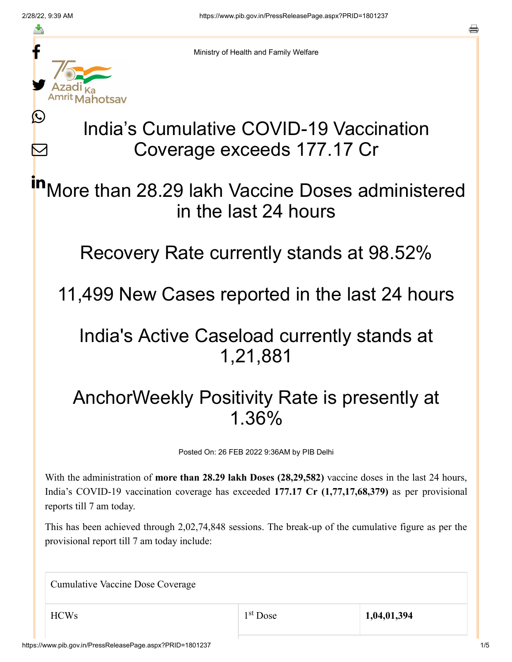≛

 $\bm{\nabla}$ 



Ministry of Health and Family Welfare

## India's Cumulative COVID-19 Vaccination Coverage exceeds 177.17 Cr

More than 28.29 lakh Vaccine Doses administered in the last 24 hours in

Recovery Rate currently stands at 98.52%

11,499 New Cases reported in the last 24 hours

## India's Active Caseload currently stands at 1,21,881

## AnchorWeekly Positivity Rate is presently at 1.36%

Posted On: 26 FEB 2022 9:36AM by PIB Delhi

With the administration of **more than 28.29 lakh Doses (28,29,582)** vaccine doses in the last 24 hours, India's COVID-19 vaccination coverage has exceeded **177.17 Cr (1,77,17,68,379)** as per provisional reports till 7 am today.

This has been achieved through 2,02,74,848 sessions. The break-up of the cumulative figure as per the provisional report till 7 am today include:

Cumulative Vaccine Dose Coverage

HCWs 1,04,01,394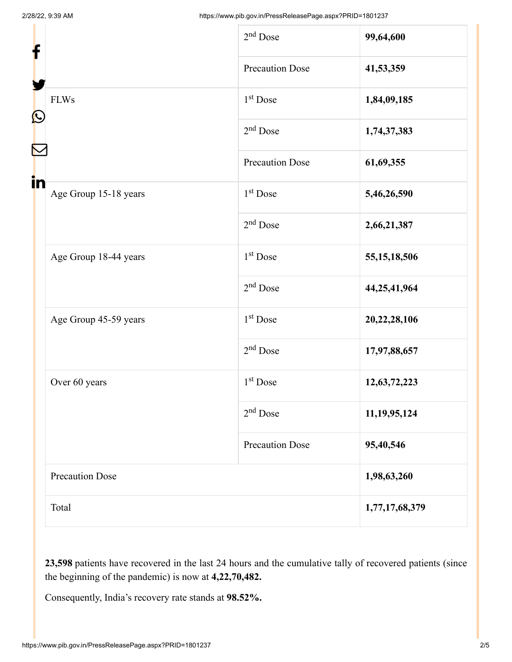| f                       |                        | $2nd$ Dose             | 99,64,600       |
|-------------------------|------------------------|------------------------|-----------------|
| $\mathbf{\Omega}$<br>in |                        | <b>Precaution Dose</b> | 41,53,359       |
|                         | <b>FLWs</b>            | $1st$ Dose             | 1,84,09,185     |
|                         |                        | $2nd$ Dose             | 1,74,37,383     |
|                         |                        | <b>Precaution Dose</b> | 61,69,355       |
|                         | Age Group 15-18 years  | 1 <sup>st</sup> Dose   | 5,46,26,590     |
|                         |                        | $2nd$ Dose             | 2,66,21,387     |
|                         | Age Group 18-44 years  | 1 <sup>st</sup> Dose   | 55, 15, 18, 506 |
|                         |                        | $2nd$ Dose             | 44,25,41,964    |
|                         | Age Group 45-59 years  | 1 <sup>st</sup> Dose   | 20,22,28,106    |
|                         |                        | $2nd$ Dose             | 17,97,88,657    |
|                         | Over 60 years          | $1st$ Dose             | 12,63,72,223    |
|                         |                        | $2nd$ Dose             | 11,19,95,124    |
|                         |                        | <b>Precaution Dose</b> | 95,40,546       |
|                         | <b>Precaution Dose</b> |                        | 1,98,63,260     |
|                         | Total                  |                        | 1,77,17,68,379  |

**23,598** patients have recovered in the last 24 hours and the cumulative tally of recovered patients (since the beginning of the pandemic) is now at **4,22,70,482.**

Consequently, India's recovery rate stands at **98.52%.**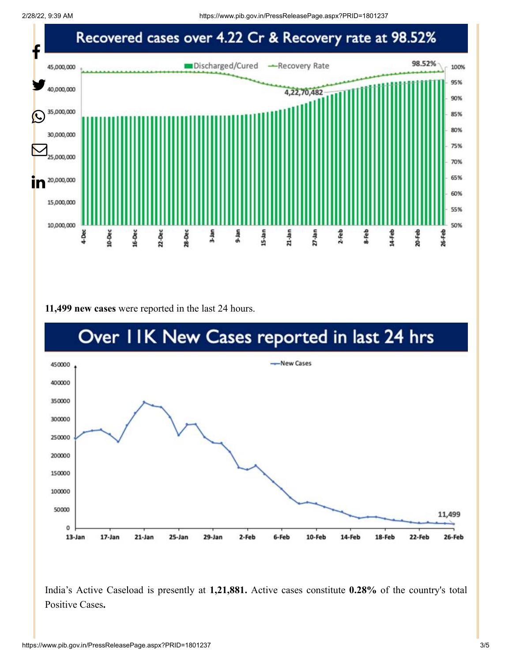2/28/22, 9:39 AM https://www.pib.gov.in/PressReleasePage.aspx?PRID=1801237



**11,499 new cases** were reported in the last 24 hours.



India's Active Caseload is presently at **1,21,881.** Active cases constitute **0.28%** of the country's total Positive Cases**.**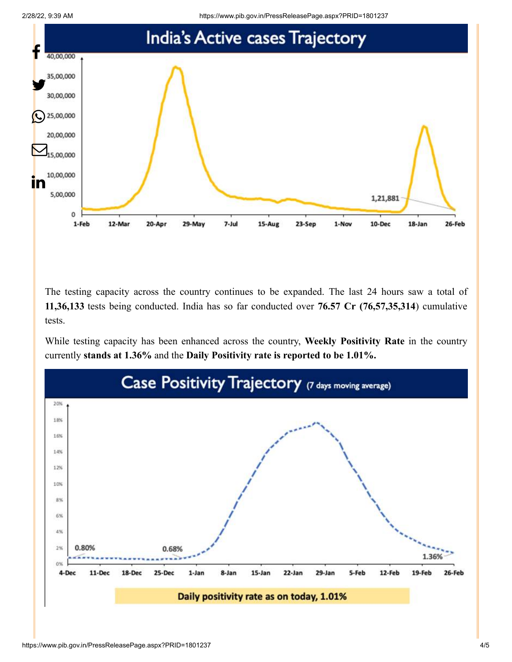

The testing capacity across the country continues to be expanded. The last 24 hours saw a total of **11,36,133** tests being conducted. India has so far conducted over **76.57 Cr (76,57,35,314**) cumulative tests.

While testing capacity has been enhanced across the country, **Weekly Positivity Rate** in the country currently **stands at 1.36%** and the **Daily Positivity rate is reported to be 1.01%.**